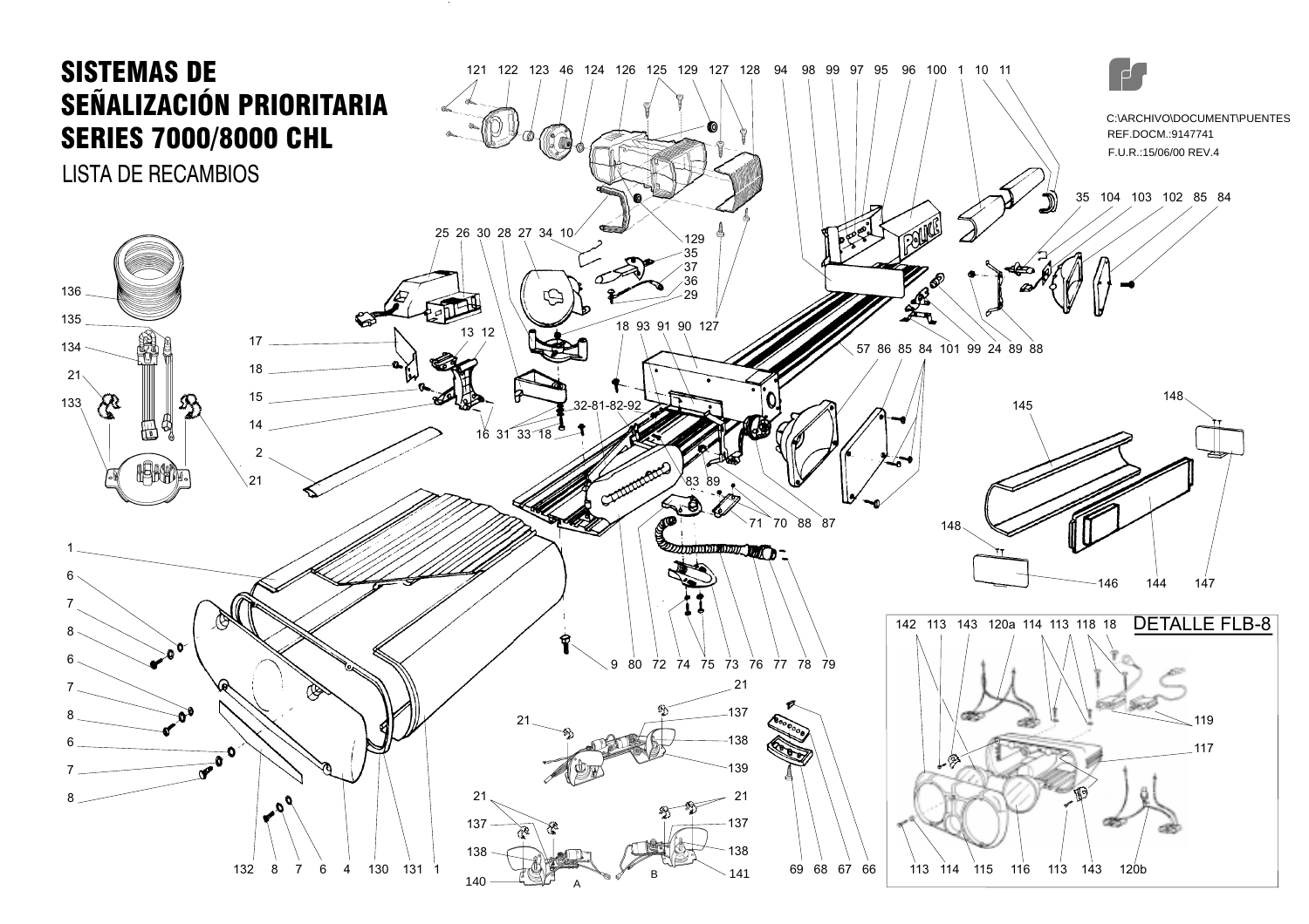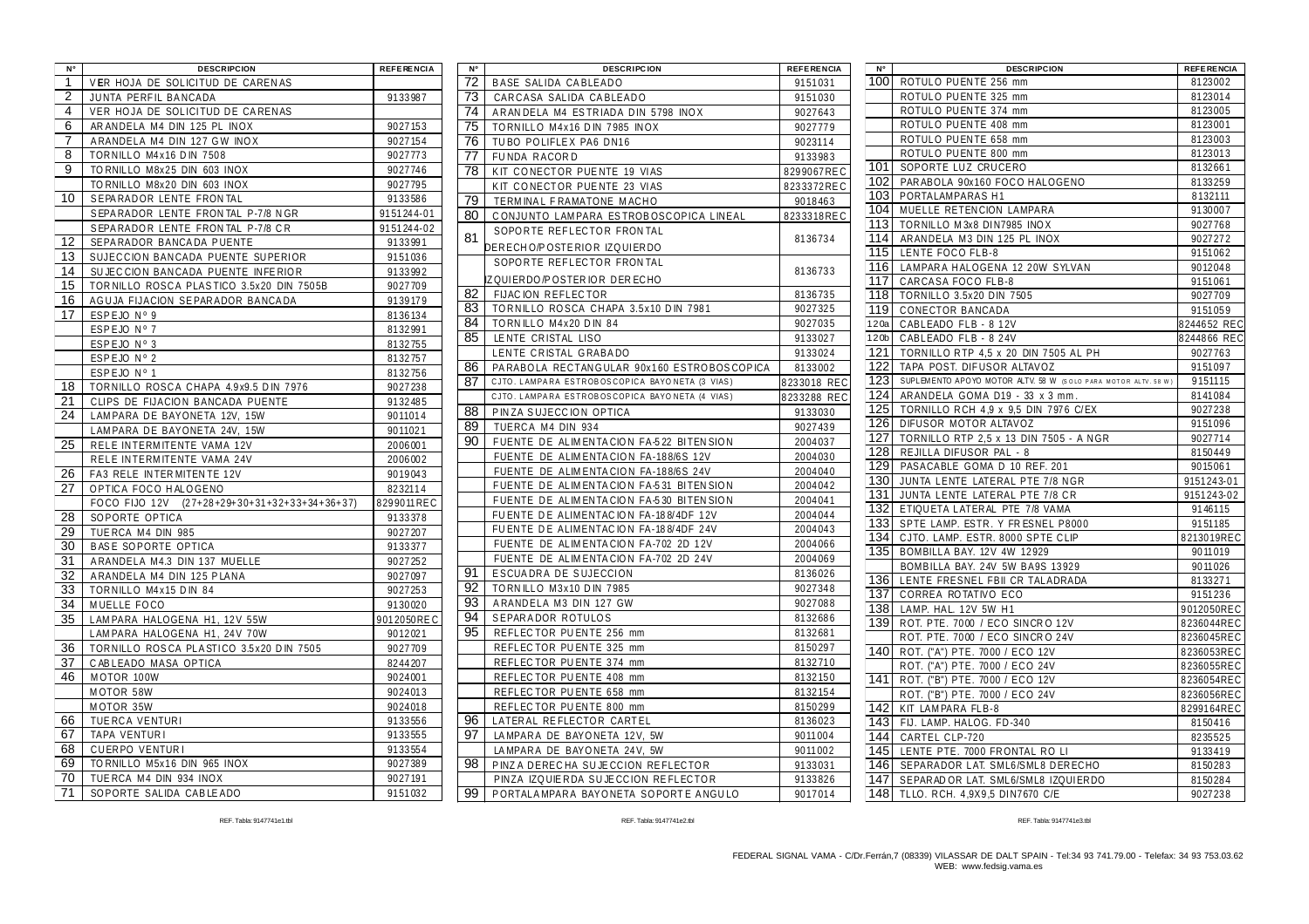| N٥ | <b>DESCRIPCION</b>                            | <b>REFERENCIA</b> |                |
|----|-----------------------------------------------|-------------------|----------------|
| 1  | VER HOJA DE SOLICITUD DE CARENAS              |                   | 7              |
| 2  | JUNTA PERFIL BANCADA                          | 9133987           | 7              |
| 4  | VER HOJA DE SOLICITUD DE CARENAS              |                   | 7              |
| 6  | ARANDELA M4 DIN 125 PL INOX                   | 9027153           | 7              |
| 7  | ARANDELA M4 DIN 127 GW INOX                   | 9027154           | 7              |
| 8  | TORNILLO M4x16 DIN 7508                       | 9027773           | 7              |
| 9  | TO RNILLO M8x25 DIN 603 INOX                  | 9027746           | 7              |
|    | TO RNILLO M8x20 DIN 603 INOX                  | 9027795           |                |
| 10 | SEPARADOR LENTE FRONTAL                       | 9133586           | 7              |
|    | SEPARADOR LENTE FRONTAL P-7/8 NGR             | 9151244-01        | 8              |
|    | SEPARADOR LENTE FRONTAL P-7/8 CR              | 9151244-02        |                |
| 12 | SEPARADOR BANCADA PUENTE                      | 9133991           | 8              |
| 13 | SUJECCION BANCADA PUENTE SUPERIOR             | 9151036           |                |
| 14 | SUJECCION BANCADA PUENTE INFERIOR             | 9133992           |                |
| 15 | TORNILLO ROSCA PLASTICO 3.5x20 DIN 7505B      | 9027709           |                |
| 16 | AGUJA FIJACION SEPARADOR BANCADA              | 9139179           | 8              |
| 17 | ESPEJONº 9                                    | 8136134           | 8              |
|    | ESPEJO Nº 7                                   | 8132991           | 8              |
|    | ESPEJONº3                                     | 8132755           | 8              |
|    | ESPEJO Nº 2                                   | 8132757           |                |
|    | ESPEJO Nº 1                                   | 8132756           | 8              |
| 18 | TORNILLO ROSCA CHAPA 4.9x9.5 DIN 7976         | 9027238           | 8              |
| 21 | CLIPS DE FIJACION BANCADA PUENTE              | 9132485           |                |
| 24 | LAMPARA DE BAYONETA 12V, 15W                  | 9011014           | 8              |
|    | LAMPARA DE BAYONETA 24V, 15W                  | 9011021           | 8              |
| 25 | RELE INTERMITENTE VAMA 12V                    | 2006001           | 9              |
|    | RELE INTERMITENTE VAMA 24V                    | 2006002           |                |
| 26 | FA3 RELE INTERMITENTE 12V                     | 9019043           |                |
| 27 | OPTICA FOCO HALOGENO                          | 8232114           |                |
|    | FOCO FIJO 12V (27+28+29+30+31+32+33+34+36+37) | 8299011REC        |                |
| 28 | SOPORTE OPTICA                                | 9133378           |                |
| 29 | TUERCA M4 DIN 985                             | 9027207           |                |
| 30 | <b>BASE SOPORTE OPTICA</b>                    | 9133377           |                |
| 31 | ARANDELA M4.3 DIN 137 MUELLE                  | 9027252           |                |
| 32 | ARANDELA M4 DIN 125 PLANA                     | 9027097           | 9              |
| 33 | TORNILLO M4x15 DIN 84                         | 9027253           | $\overline{9}$ |
| 34 | MUELLE FOCO                                   | 9130020           | g              |
| 35 | LAMPARA HALOGENA H1, 12V 55W                  | 9012050REC        | 9              |
|    | LAMPARA HALOGENA H1, 24V 70W                  | 9012021           | 9              |
| 36 | TORNILLO ROSCA PLASTICO 3.5x20 DIN 7505       | 9027709           |                |
| 37 | CABLEADO MASA OPTICA                          | 8244207           |                |
| 46 | MOTOR 100W                                    | 9024001           |                |
|    | MOTOR 58W                                     | 9024013           |                |
|    | MOTOR 35W                                     | 9024018           |                |
| 66 | TUERCA VENTURI                                | 9133556           | 9              |
| 67 | <b>TAPA VENTURI</b>                           | 9133555           | 9              |
| 68 | <b>CUERPO VENTURI</b>                         | 9133554           |                |
| 69 | TO RNILLO M5x16 DIN 965 INOX                  | 9027389           | g              |
| 70 | TUERCA M4 DIN 934 INOX                        | 9027191           |                |
| 71 | SOPORTE SALIDA CABLEADO                       |                   | 9              |
|    |                                               | 9151032           |                |

 $\overline{a}$ 

| <b>N°</b> | <b>DESCRIPCION</b>                                                       | <b>REFERENCIA</b>  |
|-----------|--------------------------------------------------------------------------|--------------------|
| 72        | BASE SALIDA CABLEADO                                                     | 9151031            |
| 73        | CARCASA SALIDA CABLEADO                                                  | 9151030            |
| 74        | ARANDELA M4 ESTRIADA DIN 5798 INOX                                       | 9027643            |
| 75        | TORNILLO M4x16 DIN 7985 INOX                                             | 9027779            |
| 76        | TUBO POLIFLEX PA6 DN16                                                   | 9023114            |
| 77        | FUNDA RACORD                                                             | 9133983            |
| 78        | KIT CONECTOR PUENTE 19 VIAS                                              | 8299067REC         |
|           | KIT CONECTOR PUENTE 23 VIAS                                              | 8233372REC         |
| 79        | TERMINAL FRAMATONE MACHO                                                 | 9018463            |
| 80        | CONJUNTO LAMPARA ESTROBOSCOPICA LINEAL                                   | 8233318REC         |
| 81        | SOPORTE REFLECTOR FRONTAL                                                | 8136734            |
|           | DERECHO/POSTERIOR IZQUIERDO                                              |                    |
|           | SOPORTE REFLECTOR FRONTAL                                                | 8136733            |
|           | IZQUIERDO/POSTERIOR DERECHO                                              |                    |
| 82        | FIJACION REFLECTOR                                                       | 8136735            |
| 83        | TORNILLO ROSCA CHAPA 3.5x10 DIN 7981                                     | 9027325            |
| 84        | TORNILLO M4x20 DIN 84                                                    | 9027035            |
| 85        | LENTE CRISTAL LISO                                                       | 9133027            |
|           | LENTE CRISTAL GRABADO                                                    | 9133024            |
| 86        | PARABOLA RECTANGULAR 90x160 ESTROBOSCOPICA                               | 8133002            |
| 87        | CJTO. LAMPARA ESTROBOSCOPICA BAYONETA (3 VIAS)                           | 8233018 REC        |
|           | CJTO. LAMPARA ESTROBOSCOPICA BAYONETA (4 VIAS)                           | 8233288 REC        |
| 88        | PINZA SUJECCION OPTICA                                                   | 9133030            |
| 89        | TUERCA M4 DIN 934                                                        | 9027439            |
| 90        | FUENTE DE ALIMENTACION FA-522 BITENSION                                  | 2004037            |
|           | FUENTE DE ALIMENTACION FA-188/6S 12V                                     | 2004030            |
|           | FUENTE DE ALIMENTACION FA-188/6S 24V                                     | 2004040            |
|           | FUENTE DE ALIMENTACION FA-531 BITENSION                                  | 2004042            |
|           | FUENTE DE ALIMENTACION FA-530 BITENSION                                  | 2004041            |
|           | FUENTE DE ALIMENTACION FA-188/4DF 12V                                    | 2004044            |
|           | FUENTE DE ALIMENTACION FA-188/4DF 24V                                    | 2004043            |
|           | FUENTE DE ALIMENTACION FA-702 2D 12V                                     | 2004066            |
|           | FUENTE DE ALIMENTACION FA-702 2D 24V                                     | 2004069            |
| 91        | ESCUADRA DE SUJECCION                                                    | 8136026            |
| 92        | TORNILLO M3x10 DIN 7985                                                  | 9027348            |
| 93<br>94  | ARANDELA M3 DIN 127 GW                                                   | 9027088            |
|           | SEPARADOR ROTULOS                                                        | 8132686            |
| 95        | REFLECTOR PUENTE 256 mm                                                  | 8132681            |
|           | REFLECTOR PUENTE 325 mm                                                  | 8150297            |
|           | REFLECTOR PUENTE 374 mm<br>REFLECTOR PUENTE 408 mm                       | 8132710<br>8132150 |
|           |                                                                          |                    |
|           | REFLECTOR PUENTE 658 mm<br>REFLECTOR PUENTE 800 mm                       | 8132154<br>8150299 |
| 96        |                                                                          |                    |
| 97        | LATERAL REFLECTOR CARTEL                                                 | 8136023            |
|           | LAMPARA DE BAYONETA 12V, 5W<br>LAMPARA DE BAYONETA 24V, 5W               | 9011004<br>9011002 |
| 98        |                                                                          |                    |
|           | PINZA DERECHA SUJECCION REFLECTOR<br>PINZA IZQUIERDA SUJECCION REFLECTOR | 9133031<br>9133826 |
| 99        | PORTALAMPARA BAYONETA SOPORTE ANGULO                                     | 9017014            |
|           |                                                                          |                    |

| N°               | <b>DESCRIPCION</b>                                             | <b>REFERENCIA</b> |
|------------------|----------------------------------------------------------------|-------------------|
| 100              | ROTULO PUENTE 256 mm                                           | 8123002           |
|                  | ROTULO PUENTE 325 mm                                           | 8123014           |
|                  | ROTULO PUENTE 374 mm                                           | 8123005           |
|                  | ROTULO PUENTE 408 mm                                           | 8123001           |
|                  | ROTULO PUENTE 658 mm                                           | 8123003           |
|                  | ROTULO PUENTE 800 mm                                           | 8123013           |
| 101              | SOPORTE LUZ CRUCERO                                            | 8132661           |
| 102              | PARABOLA 90x160 FOCO HALOGENO                                  | 8133259           |
| 103              | PORTALAMPARAS H1                                               | 8132111           |
| 104              | MUELLE RETENCION LAMPARA                                       | 9130007           |
| 113              | TORNILLO M3x8 DIN7985 INOX                                     | 9027768           |
| 114              | ARANDELA M3 DIN 125 PL INOX                                    | 9027272           |
| 115              | LENTE FOCO FLB-8                                               | 9151062           |
| 116              | LAMPARA HALOGENA 12 20W SYLVAN                                 | 9012048           |
| 117              | CARCASA FOCO FLB-8                                             | 9151061           |
| 118              | TORNILLO 3.5x20 DIN 7505                                       | 9027709           |
| 119              | CONECTOR BANCADA                                               | 9151059           |
| 120a             | CABLEADO FLB - 8 12V                                           | 8244652 REC       |
| 120 <sub>b</sub> | CABLEADO FLB - 8 24V                                           | 8244866 REC       |
| 121              | TORNILLO RTP 4,5 x 20 DIN 7505 AL PH                           | 9027763           |
| 122              | TAPA POST. DIFUSOR ALTAVOZ                                     | 9151097           |
| 123              | SUPLEMENTO APOYO MOTOR ALTV. 58 W (SOLO PARA MOTOR ALTV. 58 W) | 9151115           |
| 124              | ARANDELA GOMA D19 - 33 x 3 mm.                                 | 8141084           |
| 125              | TORNILLO RCH 4,9 x 9,5 DIN 7976 C/EX                           | 9027238           |
| 126              | DIFUSOR MOTOR ALTAVOZ                                          | 9151096           |
| 127              | TORNILLO RTP 2,5 x 13 DIN 7505 - A NGR                         | 9027714           |
| 128              | REJILLA DIFUSOR PAL - 8                                        | 8150449           |
| 129              | PASACABLE GOMA D 10 REF. 201                                   | 9015061           |
| 130              | JUNTA LENTE LATERAL PTE 7/8 NGR                                | 9151243-01        |
| 131              | JUNTA LENTE LATERAL PTE 7/8 CR                                 | 9151243-02        |
| 132              | ETIQUETA LATERAL PTE 7/8 VAMA                                  | 9146115           |
| 133              | SPTE LAMP. ESTR. Y FRESNEL P8000                               | 9151185           |
| 134              | CJTO. LAMP. ESTR. 8000 SPTE CLIP                               | 8213019REC        |
| 135              | BOMBILLA BAY. 12V 4W 12929                                     | 9011019           |
|                  | BOMBILLA BAY. 24V 5W BA9S 13929                                | 9011026           |
| 136              | LENTE FRESNEL FBII CR TALADRADA                                | 8133271           |
| 137              | CORREA ROTATIVO ECO                                            | 9151236           |
| 138              | LAMP. HAL. 12V 5W H1                                           | 9012050REC        |
| 139              | ROT. PTE. 7000 / ECO SINCRO 12V                                | 8236044REC        |
|                  | ROT. PTE. 7000 / ECO SINCRO 24V                                | 8236045REC        |
| 140              | ROT. ("A") PTE. 7000 / ECO 12V                                 | 8236053REC        |
|                  | ROT. ("A") PTE. 7000 / ECO 24V                                 | 8236055REC        |
| 141              | ROT. ("B") PTE. 7000 / ECO 12V                                 | 8236054REC        |
|                  | ROT. ("B") PTE. 7000 / ECO 24V                                 | 8236056REC        |
| 142              | KIT LAMPARA FLB-8                                              | 8299164REC        |
| 143              | FIJ. LAMP. HALOG. FD-340                                       | 8150416           |
| 144              | CARTEL CLP-720                                                 | 8235525           |
| 145              | LENTE PTE. 7000 FRONTAL RO LI                                  | 9133419           |
| 146              | SEPARADOR LAT. SML6/SML8 DERECHO                               | 8150283           |
| 147              | SEPARADOR LAT. SML6/SML8 IZQUIERDO                             | 8150284           |
| 148              | TLLO. RCH. 4,9X9,5 DIN7670 C/E                                 | 9027238           |

REF. Tabla: 9147741e1.tbl REF. Tabla: 9147741e2.tbl REF. Tabla: 9147741e3.tbl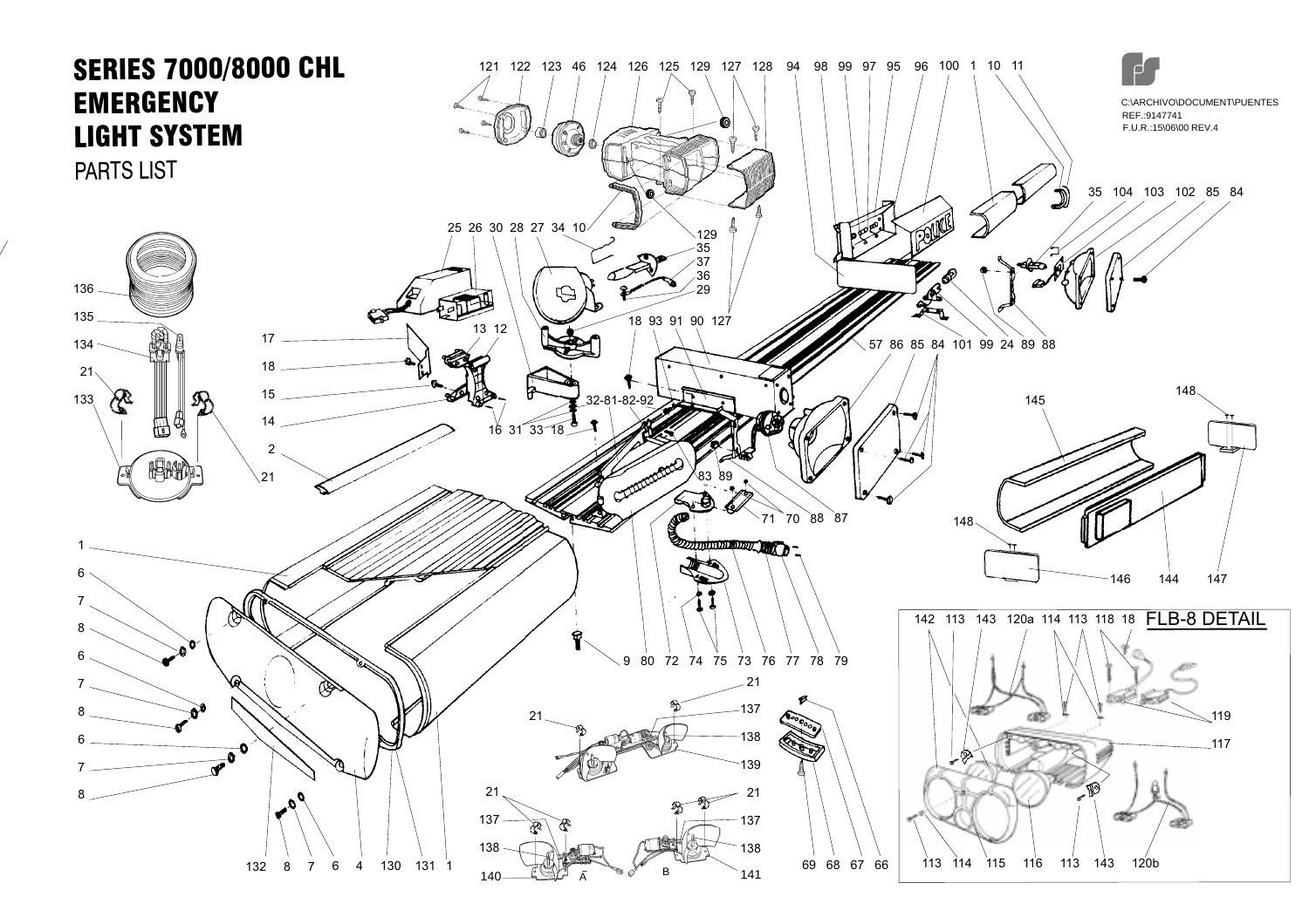